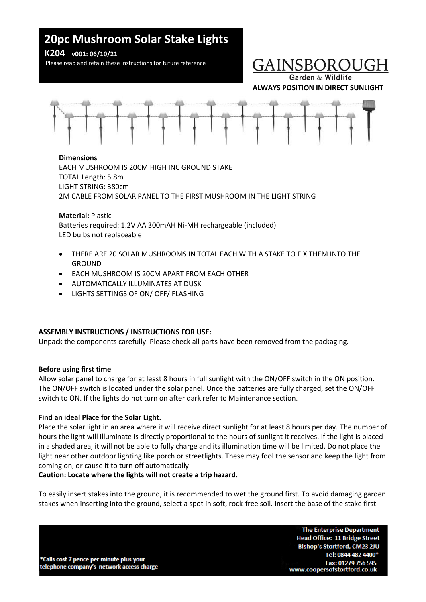# **20pc Mushroom Solar Stake Lights**

**K204 v001: 06/10/21**

Please read and retain these instructions for future reference

# **GAINSBOROUG**

Garden & Wildlife **ALWAYS POSITION IN DIRECT SUNLIGHT**



### **Dimensions**

EACH MUSHROOM IS 20CM HIGH INC GROUND STAKE TOTAL Length: 5.8m LIGHT STRING: 380cm 2M CABLE FROM SOLAR PANEL TO THE FIRST MUSHROOM IN THE LIGHT STRING

**Material:** Plastic Batteries required: 1.2V AA 300mAH Ni-MH rechargeable (included) LED bulbs not replaceable

- THERE ARE 20 SOLAR MUSHROOMS IN TOTAL EACH WITH A STAKE TO FIX THEM INTO THE **GROUND**
- EACH MUSHROOM IS 20CM APART FROM EACH OTHER
- AUTOMATICALLY ILLUMINATES AT DUSK
- LIGHTS SETTINGS OF ON/ OFF/ FLASHING

# **ASSEMBLY INSTRUCTIONS / INSTRUCTIONS FOR USE:**

Unpack the components carefully. Please check all parts have been removed from the packaging.

# **Before using first time**

Allow solar panel to charge for at least 8 hours in full sunlight with the ON/OFF switch in the ON position. The ON/OFF switch is located under the solar panel. Once the batteries are fully charged, set the ON/OFF switch to ON. If the lights do not turn on after dark refer to Maintenance section.

# **Find an ideal Place for the Solar Light.**

Place the solar light in an area where it will receive direct sunlight for at least 8 hours per day. The number of hours the light will illuminate is directly proportional to the hours of sunlight it receives. If the light is placed in a shaded area, it will not be able to fully charge and its illumination time will be limited. Do not place the light near other outdoor lighting like porch or streetlights. These may fool the sensor and keep the light from coming on, or cause it to turn off automatically

# **Caution: Locate where the lights will not create a trip hazard.**

To easily insert stakes into the ground, it is recommended to wet the ground first. To avoid damaging garden stakes when inserting into the ground, select a spot in soft, rock-free soil. Insert the base of the stake first

\*Calls cost 7 pence per minute plus your telephone company's network access charge

**The Enterprise Department Head Office: 11 Bridge Street** Bishop's Stortford, CM23 2JU Tel: 0844 482 4400\* Fax: 01279 756 595 www.coopersofstortford.co.uk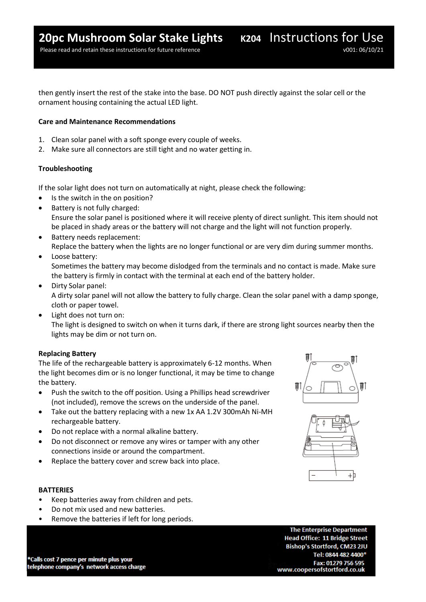Please read and retain these instructions for future reference v001: 06/10/21

then gently insert the rest of the stake into the base. DO NOT push directly against the solar cell or the ornament housing containing the actual LED light.

#### **Care and Maintenance Recommendations**

- 1. Clean solar panel with a soft sponge every couple of weeks.
- 2. Make sure all connectors are still tight and no water getting in.

#### **Troubleshooting**

If the solar light does not turn on automatically at night, please check the following:

- Is the switch in the on position?
- Battery is not fully charged: Ensure the solar panel is positioned where it will receive plenty of direct sunlight. This item should not be placed in shady areas or the battery will not charge and the light will not function properly.
- Battery needs replacement: Replace the battery when the lights are no longer functional or are very dim during summer months.
- Loose battery: Sometimes the battery may become dislodged from the terminals and no contact is made. Make sure the battery is firmly in contact with the terminal at each end of the battery holder.
- Dirty Solar panel: A dirty solar panel will not allow the battery to fully charge. Clean the solar panel with a damp sponge, cloth or paper towel.
- Light does not turn on: The light is designed to switch on when it turns dark, if there are strong light sources nearby then the lights may be dim or not turn on.

#### **Replacing Battery**

The life of the rechargeable battery is approximately 6-12 months. When the light becomes dim or is no longer functional, it may be time to change the battery.

- Push the switch to the off position. Using a Phillips head screwdriver (not included), remove the screws on the underside of the panel.
- Take out the battery replacing with a new 1x AA 1.2V 300mAh Ni-MH rechargeable battery.
- Do not replace with a normal alkaline battery.
- Do not disconnect or remove any wires or tamper with any other connections inside or around the compartment.
- Replace the battery cover and screw back into place.

#### **BATTERIES**

- Keep batteries away from children and pets.
- Do not mix used and new batteries.
- Remove the batteries if left for long periods.





\*Calls cost 7 pence per minute plus your telephone company's network access charge

**The Enterprise Department Head Office: 11 Bridge Street** Bishop's Stortford, CM23 2JU Tel: 0844 482 4400\* Fax: 01279 756 595 www.coopersofstortford.co.uk